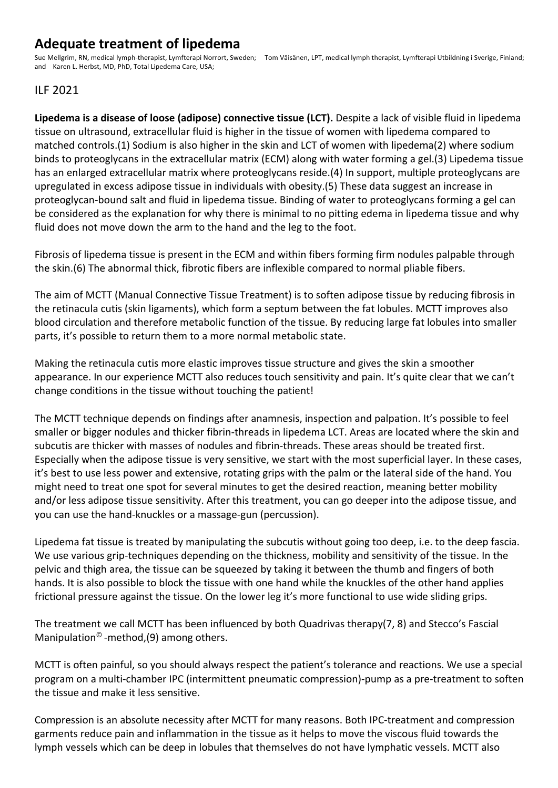## **Adequate treatment of lipedema**

Sue Mellgrim, RN, medical lymph-therapist, Lymfterapi Norrort, Sweden; Tom Väisänen, LPT, medical lymph therapist, Lymfterapi Utbildning i Sverige, Finland; and Karen L. Herbst, MD, PhD, Total Lipedema Care, USA;

## ILF 2021

**Lipedema is a disease of loose (adipose) connective tissue (LCT).** Despite a lack of visible fluid in lipedema tissue on ultrasound, extracellular fluid is higher in the tissue of women with lipedema compared to matched controls.(1) Sodium is also higher in the skin and LCT of women with lipedema(2) where sodium binds to proteoglycans in the extracellular matrix (ECM) along with water forming a gel.(3) Lipedema tissue has an enlarged extracellular matrix where proteoglycans reside.(4) In support, multiple proteoglycans are upregulated in excess adipose tissue in individuals with obesity.(5) These data suggest an increase in proteoglycan-bound salt and fluid in lipedema tissue. Binding of water to proteoglycans forming a gel can be considered as the explanation for why there is minimal to no pitting edema in lipedema tissue and why fluid does not move down the arm to the hand and the leg to the foot.

Fibrosis of lipedema tissue is present in the ECM and within fibers forming firm nodules palpable through the skin.(6) The abnormal thick, fibrotic fibers are inflexible compared to normal pliable fibers.

The aim of MCTT (Manual Connective Tissue Treatment) is to soften adipose tissue by reducing fibrosis in the retinacula cutis (skin ligaments), which form a septum between the fat lobules. MCTT improves also blood circulation and therefore metabolic function of the tissue. By reducing large fat lobules into smaller parts, it's possible to return them to a more normal metabolic state.

Making the retinacula cutis more elastic improves tissue structure and gives the skin a smoother appearance. In our experience MCTT also reduces touch sensitivity and pain. It's quite clear that we can't change conditions in the tissue without touching the patient!

The MCTT technique depends on findings after anamnesis, inspection and palpation. It's possible to feel smaller or bigger nodules and thicker fibrin-threads in lipedema LCT. Areas are located where the skin and subcutis are thicker with masses of nodules and fibrin-threads. These areas should be treated first. Especially when the adipose tissue is very sensitive, we start with the most superficial layer. In these cases, it's best to use less power and extensive, rotating grips with the palm or the lateral side of the hand. You might need to treat one spot for several minutes to get the desired reaction, meaning better mobility and/or less adipose tissue sensitivity. After this treatment, you can go deeper into the adipose tissue, and you can use the hand-knuckles or a massage-gun (percussion).

Lipedema fat tissue is treated by manipulating the subcutis without going too deep, i.e. to the deep fascia. We use various grip-techniques depending on the thickness, mobility and sensitivity of the tissue. In the pelvic and thigh area, the tissue can be squeezed by taking it between the thumb and fingers of both hands. It is also possible to block the tissue with one hand while the knuckles of the other hand applies frictional pressure against the tissue. On the lower leg it's more functional to use wide sliding grips.

The treatment we call MCTT has been influenced by both Quadrivas therapy(7, 8) and Stecco's Fascial Manipulation<sup>©</sup> -method,  $(9)$  among others.

MCTT is often painful, so you should always respect the patient's tolerance and reactions. We use a special program on a multi-chamber IPC (intermittent pneumatic compression)-pump as a pre-treatment to soften the tissue and make it less sensitive.

Compression is an absolute necessity after MCTT for many reasons. Both IPC-treatment and compression garments reduce pain and inflammation in the tissue as it helps to move the viscous fluid towards the lymph vessels which can be deep in lobules that themselves do not have lymphatic vessels. MCTT also